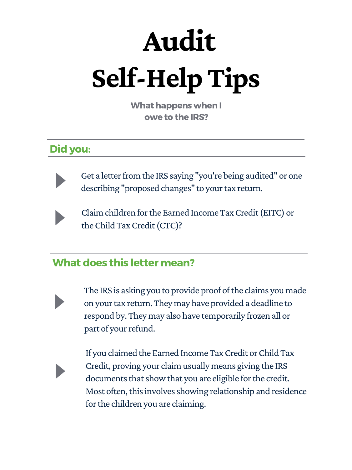#### What does this letter mean?



The IRS is asking you to provide proof of the claims you made on your tax return. They may have provided a deadline to respond by. They may also have temporarily frozen all or part of your refund.

If you claimed the Earned Income Tax Credit or Child Tax Credit, proving your claim usually means giving the IRS documents that show that you are eligible for the credit. Most often, this involves showing relationship and residence for the children you are claiming.

# **Self-HelpTips Audit**

What happens when I owe to the IRS?

#### Did you:



Get a letter from the IRS saying "you're being audited" or one describing "proposed changes" to your tax return.



Claim children for the Earned Income Tax Credit (EITC) or the Child Tax Credit (CTC)?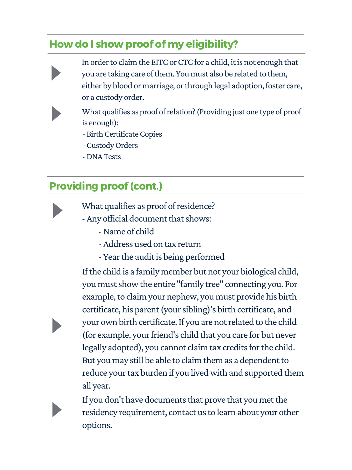## Providing proof(cont.)

- 
- What qualifies as proof of residence?
- Any official document that shows:
	- -Name of child
	- -Address used on tax return
	- Year the audit is being performed

If the child is a family member but not your biological child, you must show the entire "family tree" connecting you. For example, to claim your nephew, you must provide his birth certificate, his parent(yoursibling)'s birth certificate, and your own birth certificate. If you are not related to the child (for example, your friend's child that you care for but never legally adopted), you cannot claim tax credits for the child. But you may still be able to claim them as a dependent to reduce your tax burden if you lived with and supported them all year.

If you don't have documents that prove that you met the residency requirement, contact us to learn about your other options.

- In order to claim the EITC or CTC for a child, it is not enough that you are taking care of them. You must also be related to them, either by blood or marriage, or through legal adoption, foster care, or a custody order.
- 
- What qualifies as proof of relation? (Providing just one type of proof is enough):
- Birth Certificate Copies
- -CustodyOrders
- -DNATests

### How do I show proof of my eligibility?